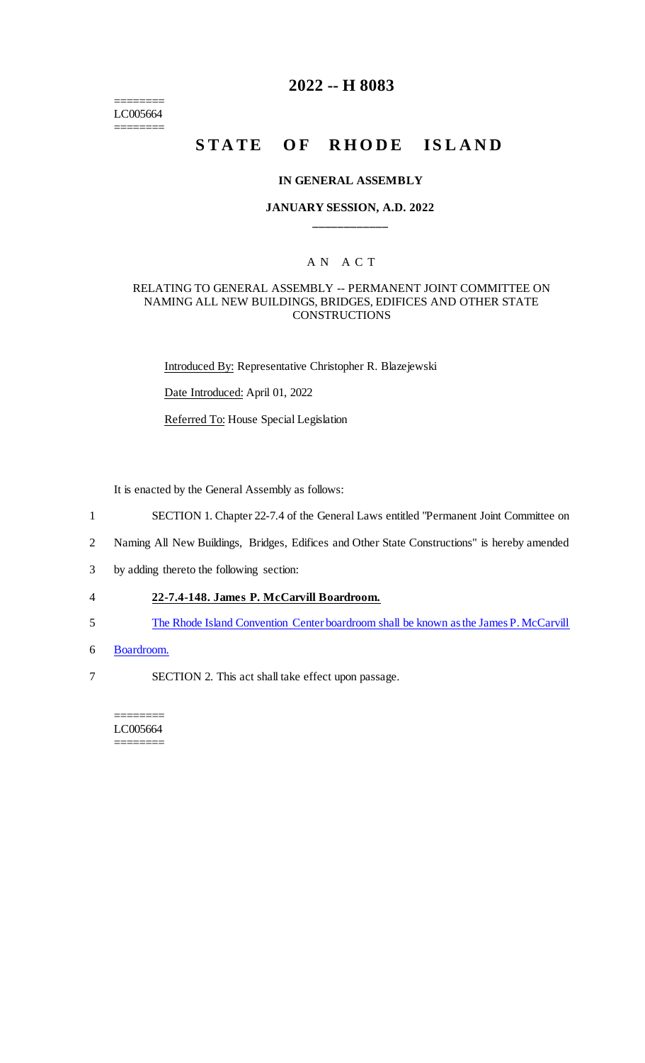======== LC005664 ========

# **2022 -- H 8083**

# **STATE OF RHODE ISLAND**

#### **IN GENERAL ASSEMBLY**

### **JANUARY SESSION, A.D. 2022 \_\_\_\_\_\_\_\_\_\_\_\_**

## A N A C T

#### RELATING TO GENERAL ASSEMBLY -- PERMANENT JOINT COMMITTEE ON NAMING ALL NEW BUILDINGS, BRIDGES, EDIFICES AND OTHER STATE **CONSTRUCTIONS**

Introduced By: Representative Christopher R. Blazejewski

Date Introduced: April 01, 2022

Referred To: House Special Legislation

It is enacted by the General Assembly as follows:

- 1 SECTION 1. Chapter 22-7.4 of the General Laws entitled "Permanent Joint Committee on
- 2 Naming All New Buildings, Bridges, Edifices and Other State Constructions" is hereby amended
- 3 by adding thereto the following section:
- 4 **22-7.4-148. James P. McCarvill Boardroom.**
- 5 The Rhode Island Convention Center boardroom shall be known as the James P. McCarvill
- 6 Boardroom.
- 7 SECTION 2. This act shall take effect upon passage.

======== LC005664 ========